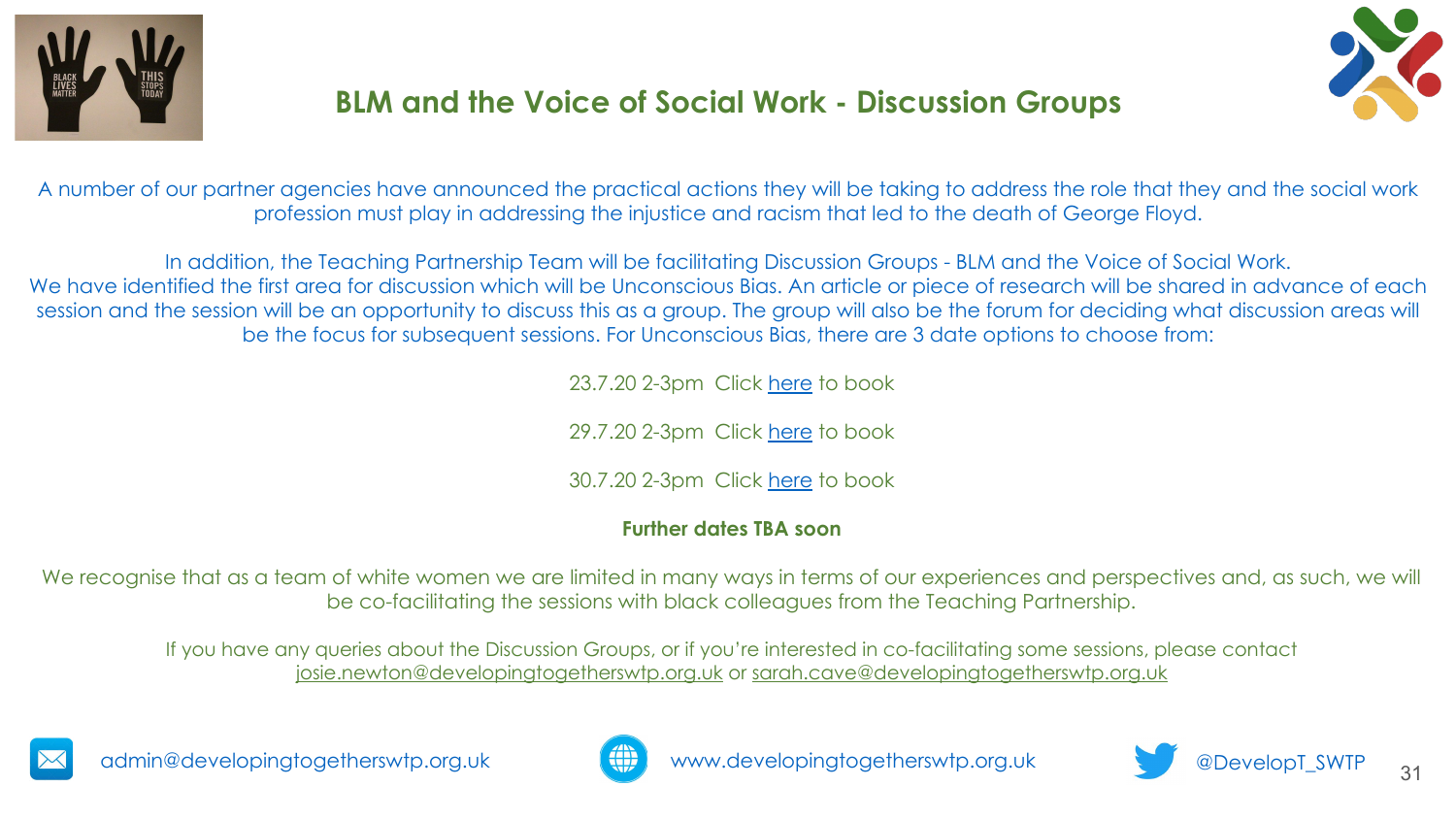



A number of our partner agencies have announced the practical actions they will be taking to address the role that they and the social work profession must play in addressing the injustice and racism that led to the death of George Floyd.

In addition, the Teaching Partnership Team will be facilitating Discussion Groups - BLM and the Voice of Social Work. We have identified the first area for discussion which will be Unconscious Bias. An article or piece of research will be shared in advance of each session and the session will be an opportunity to discuss this as a group. The group will also be the forum for deciding what discussion areas will be the focus for subsequent sessions. For Unconscious Bias, there are 3 date options to choose from:

23.7.20 2-3pm Click here to book

29.7.20 2-3pm Click here to book

30.7.20 2-3pm Click here to book

#### **Further dates TBA soon**

We recognise that as a team of white women we are limited in many ways in terms of our experiences and perspectives and, as such, we will be co-facilitating the sessions with black colleagues from the Teaching Partnership.

If you have any queries about the Discussion Groups, or if you're interested in co-facilitating some sessions, please contact josie.newton@developingtogetherswtp.org.uk or sarah.cave@developingtogetherswtp.org.uk





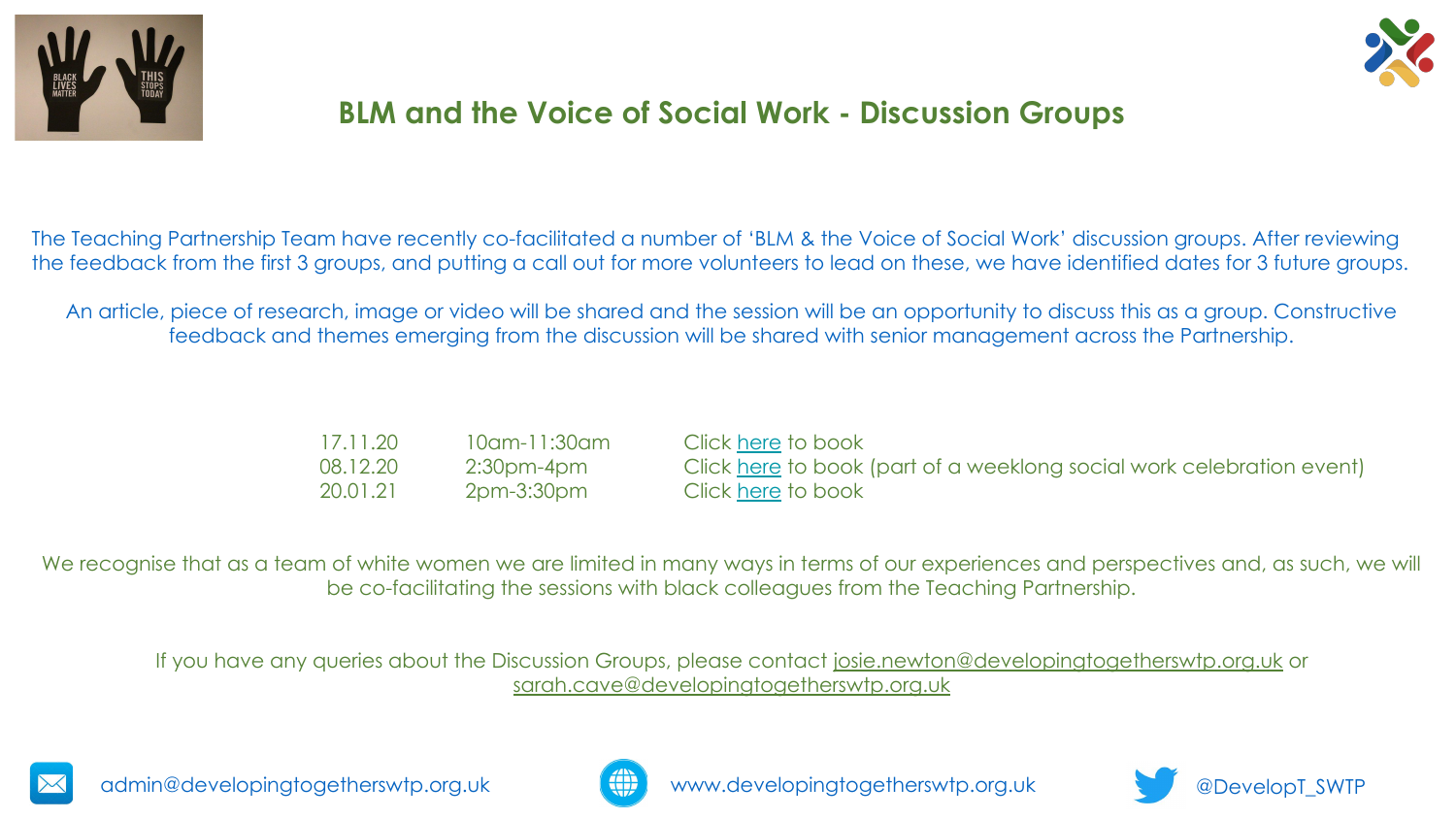



The Teaching Partnership Team have recently co-facilitated a number of 'BLM & the Voice of Social Work' discussion groups. After reviewing the feedback from the first 3 groups, and putting a call out for more volunteers to lead on these, we have identified dates for 3 future groups.

An article, piece of research, image or video will be shared and the session will be an opportunity to discuss this as a group. Constructive feedback and themes emerging from the discussion will be shared with senior management across the Partnership.

| 17.11.20 | 10am-11:30am | Click here to book                                                    |
|----------|--------------|-----------------------------------------------------------------------|
| 08.12.20 | 2:30pm-4pm   | Click here to book (part of a weeklong social work celebration event) |
| 20.01.21 | 2pm-3:30pm   | Click here to book                                                    |

We recognise that as a team of white women we are limited in many ways in terms of our experiences and perspectives and, as such, we will be co-facilitating the sessions with black colleagues from the Teaching Partnership.

If you have any queries about the Discussion Groups, please contact josie.newton@developingtogetherswtp.org.uk or sarah.cave@developingtogetherswtp.org.uk





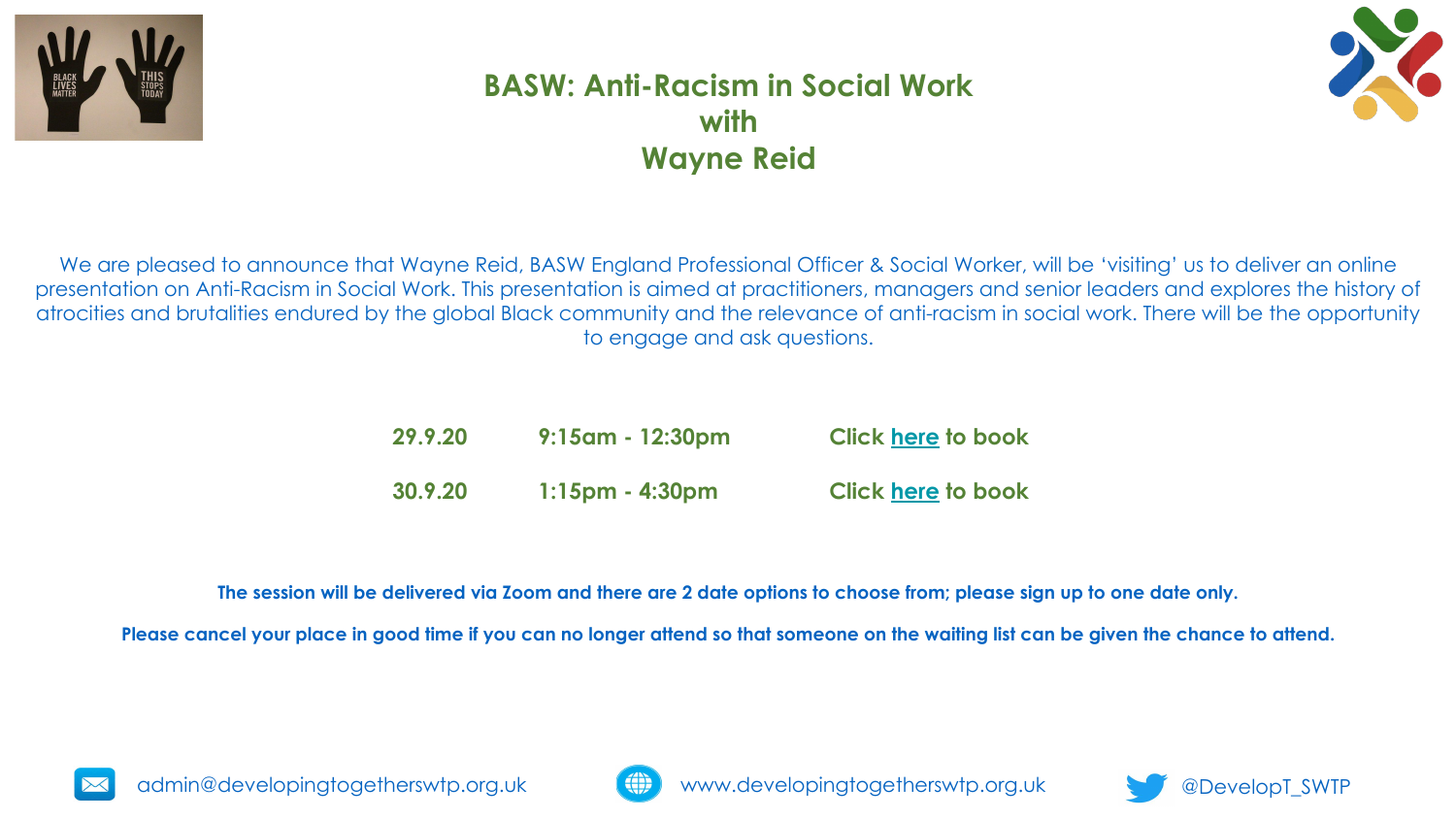



### **BASW: Anti-Racism in Social Work with Wayne Reid**

We are pleased to announce that Wayne Reid, BASW England Professional Officer & Social Worker, will be 'visiting' us to deliver an online presentation on Anti-Racism in Social Work. This presentation is aimed at practitioners, managers and senior leaders and explores the history of atrocities and brutalities endured by the global Black community and the relevance of anti-racism in social work. There will be the opportunity to engage and ask questions.

| 29.9.20 | $9:15$ am - 12:30pm | <b>Click here to book</b> |
|---------|---------------------|---------------------------|
| 30.9.20 | $1:15$ pm - 4:30pm  | <b>Click here to book</b> |

**The session will be delivered via Zoom and there are 2 date options to choose from; please sign up to one date only.** 

**Please cancel your place in good time if you can no longer attend so that someone on the waiting list can be given the chance to attend.**



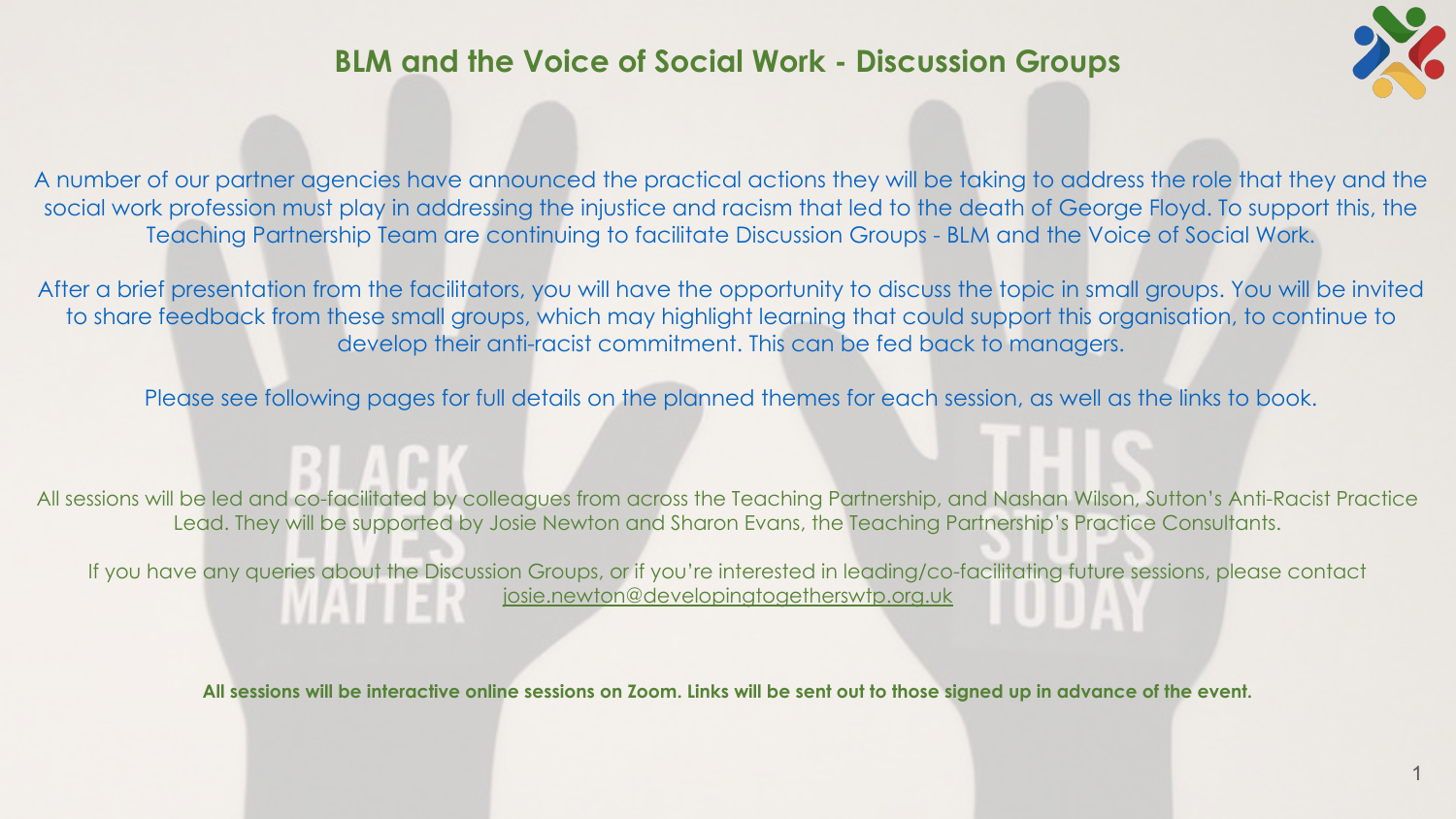

A number of our partner agencies have announced the practical actions they will be taking to address the role that they and the social work profession must play in addressing the injustice and racism that led to the death of George Floyd. To support this, the Teaching Partnership Team are continuing to facilitate Discussion Groups - BLM and the Voice of Social Work.

After a brief presentation from the facilitators, you will have the opportunity to discuss the topic in small groups. You will be invited to share feedback from these small groups, which may highlight learning that could support this organisation, to continue to develop their anti-racist commitment. This can be fed back to managers.

Please see following pages for full details on the planned themes for each session, as well as the links to book.

All sessions will be led and co-facilitated by colleagues from across the Teaching Partnership, and Nashan Wilson, Sutton's Anti-Racist Practice Lead. They will be supported by Josie Newton and Sharon Evans, the Teaching Partnership's Practice Consultants.

If you have any queries about the Discussion Groups, or if you're interested in leading/co-facilitating future sessions, please contact [josie.newton@developingtogetherswtp.org.uk](mailto:josie.newton@developingtogetherswtp.org.uk)

**All sessions will be interactive online sessions on Zoom. Links will be sent out to those signed up in advance of the event.**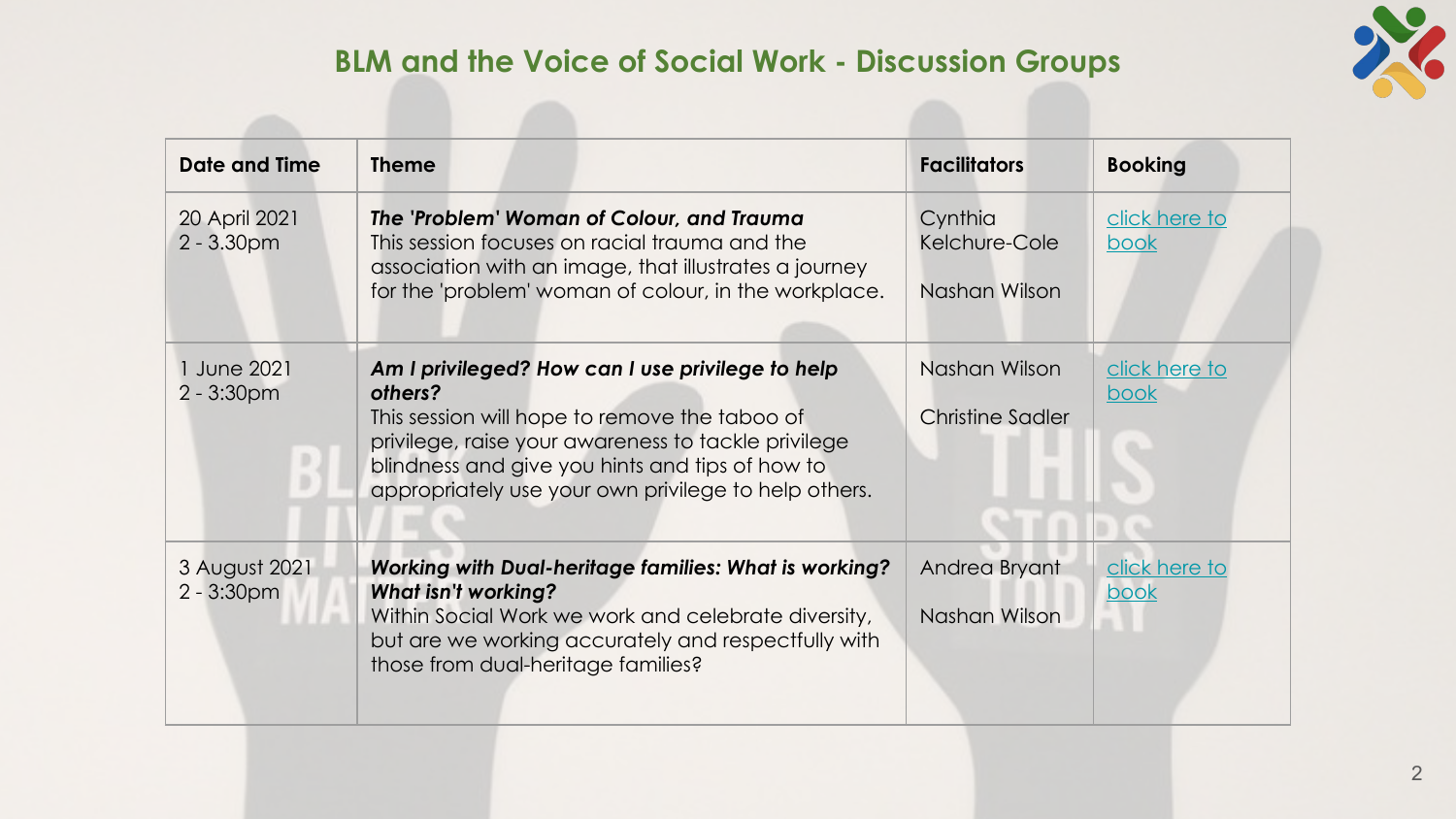

| <b>Date and Time</b>           | <b>Theme</b>                                                                                                                                                                                                                                                                   | <b>Facilitators</b>                       | <b>Booking</b>               |
|--------------------------------|--------------------------------------------------------------------------------------------------------------------------------------------------------------------------------------------------------------------------------------------------------------------------------|-------------------------------------------|------------------------------|
| 20 April 2021<br>$2 - 3.30$ pm | The 'Problem' Woman of Colour, and Trauma<br>This session focuses on racial trauma and the<br>association with an image, that illustrates a journey<br>for the 'problem' woman of colour, in the workplace.                                                                    | Cynthia<br>Kelchure-Cole<br>Nashan Wilson | click here to<br>book        |
| 1 June 2021<br>$2 - 3:30pm$    | Am I privileged? How can I use privilege to help<br>others?<br>This session will hope to remove the taboo of<br>privilege, raise your awareness to tackle privilege<br>blindness and give you hints and tips of how to<br>appropriately use your own privilege to help others. | Nashan Wilson<br>Christine Sadler         | click here to<br><u>book</u> |
| 3 August 2021<br>$2 - 3:30pm$  | <b>Working with Dual-heritage families: What is working?</b><br><b>What isn't working?</b><br>Within Social Work we work and celebrate diversity,<br>but are we working accurately and respectfully with<br>those from dual-heritage families?                                 | Andrea Bryant<br>Nashan Wilson            | click here to<br>book        |